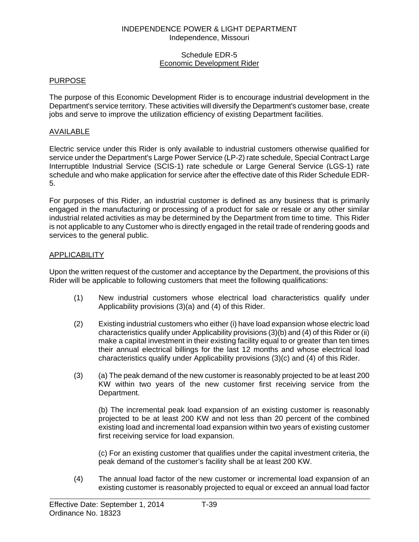### Schedule EDR-5 Economic Development Rider

# PURPOSE

The purpose of this Economic Development Rider is to encourage industrial development in the Department's service territory. These activities will diversify the Department's customer base, create jobs and serve to improve the utilization efficiency of existing Department facilities.

# AVAILABLE

Electric service under this Rider is only available to industrial customers otherwise qualified for service under the Department's Large Power Service (LP-2) rate schedule, Special Contract Large Interruptible Industrial Service (SCIS-1) rate schedule or Large General Service (LGS-1) rate schedule and who make application for service after the effective date of this Rider Schedule EDR-5.

For purposes of this Rider, an industrial customer is defined as any business that is primarily engaged in the manufacturing or processing of a product for sale or resale or any other similar industrial related activities as may be determined by the Department from time to time. This Rider is not applicable to any Customer who is directly engaged in the retail trade of rendering goods and services to the general public.

# **APPLICABILITY**

Upon the written request of the customer and acceptance by the Department, the provisions of this Rider will be applicable to following customers that meet the following qualifications:

- (1) New industrial customers whose electrical load characteristics qualify under Applicability provisions (3)(a) and (4) of this Rider.
- (2) Existing industrial customers who either (i) have load expansion whose electric load characteristics qualify under Applicability provisions (3)(b) and (4) of this Rider or (ii) make a capital investment in their existing facility equal to or greater than ten times their annual electrical billings for the last 12 months and whose electrical load characteristics qualify under Applicability provisions (3)(c) and (4) of this Rider.
- (3) (a) The peak demand of the new customer is reasonably projected to be at least 200 KW within two years of the new customer first receiving service from the Department.

(b) The incremental peak load expansion of an existing customer is reasonably projected to be at least 200 KW and not less than 20 percent of the combined existing load and incremental load expansion within two years of existing customer first receiving service for load expansion.

(c) For an existing customer that qualifies under the capital investment criteria, the peak demand of the customer's facility shall be at least 200 KW.

(4) The annual load factor of the new customer or incremental load expansion of an existing customer is reasonably projected to equal or exceed an annual load factor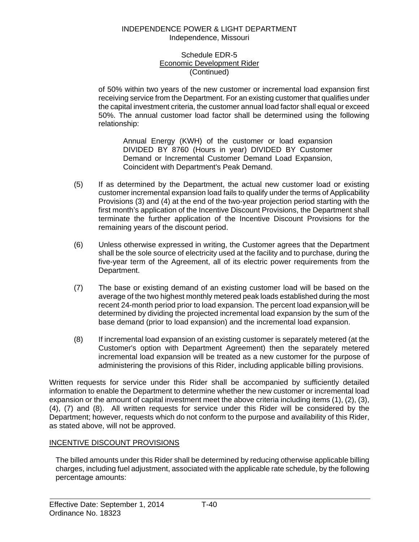### Schedule EDR-5 Economic Development Rider (Continued)

of 50% within two years of the new customer or incremental load expansion first receiving service from the Department. For an existing customer that qualifies under the capital investment criteria, the customer annual load factor shall equal or exceed 50%. The annual customer load factor shall be determined using the following relationship:

Annual Energy (KWH) of the customer or load expansion DIVIDED BY 8760 (Hours in year) DIVIDED BY Customer Demand or Incremental Customer Demand Load Expansion, Coincident with Department's Peak Demand.

- (5) If as determined by the Department, the actual new customer load or existing customer incremental expansion load fails to qualify under the terms of Applicability Provisions (3) and (4) at the end of the two-year projection period starting with the first month's application of the Incentive Discount Provisions, the Department shall terminate the further application of the Incentive Discount Provisions for the remaining years of the discount period.
- (6) Unless otherwise expressed in writing, the Customer agrees that the Department shall be the sole source of electricity used at the facility and to purchase, during the five-year term of the Agreement, all of its electric power requirements from the Department.
- (7) The base or existing demand of an existing customer load will be based on the average of the two highest monthly metered peak loads established during the most recent 24-month period prior to load expansion. The percent load expansion will be determined by dividing the projected incremental load expansion by the sum of the base demand (prior to load expansion) and the incremental load expansion.
- (8) If incremental load expansion of an existing customer is separately metered (at the Customer's option with Department Agreement) then the separately metered incremental load expansion will be treated as a new customer for the purpose of administering the provisions of this Rider, including applicable billing provisions.

Written requests for service under this Rider shall be accompanied by sufficiently detailed information to enable the Department to determine whether the new customer or incremental load expansion or the amount of capital investment meet the above criteria including items (1), (2), (3), (4), (7) and (8). All written requests for service under this Rider will be considered by the Department; however, requests which do not conform to the purpose and availability of this Rider, as stated above, will not be approved.

# INCENTIVE DISCOUNT PROVISIONS

The billed amounts under this Rider shall be determined by reducing otherwise applicable billing charges, including fuel adjustment, associated with the applicable rate schedule, by the following percentage amounts: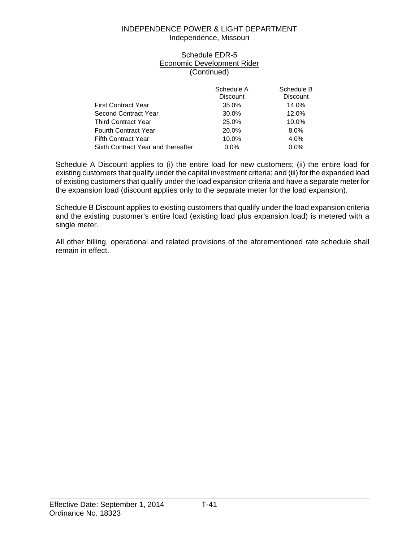## Schedule EDR-5 Economic Development Rider (Continued)

|                                    | Schedule A<br>Discount | Schedule B<br><b>Discount</b> |
|------------------------------------|------------------------|-------------------------------|
| <b>First Contract Year</b>         | 35.0%                  | 14.0%                         |
| Second Contract Year               | 30.0%                  | 12.0%                         |
| <b>Third Contract Year</b>         | 25.0%                  | 10.0%                         |
| <b>Fourth Contract Year</b>        | 20.0%                  | 8.0%                          |
| <b>Fifth Contract Year</b>         | 10.0%                  | 4.0%                          |
| Sixth Contract Year and thereafter | $0.0\%$                | 0.0%                          |

Schedule A Discount applies to (i) the entire load for new customers; (ii) the entire load for existing customers that qualify under the capital investment criteria; and (iii) for the expanded load of existing customers that qualify under the load expansion criteria and have a separate meter for the expansion load (discount applies only to the separate meter for the load expansion).

Schedule B Discount applies to existing customers that qualify under the load expansion criteria and the existing customer's entire load (existing load plus expansion load) is metered with a single meter.

All other billing, operational and related provisions of the aforementioned rate schedule shall remain in effect.